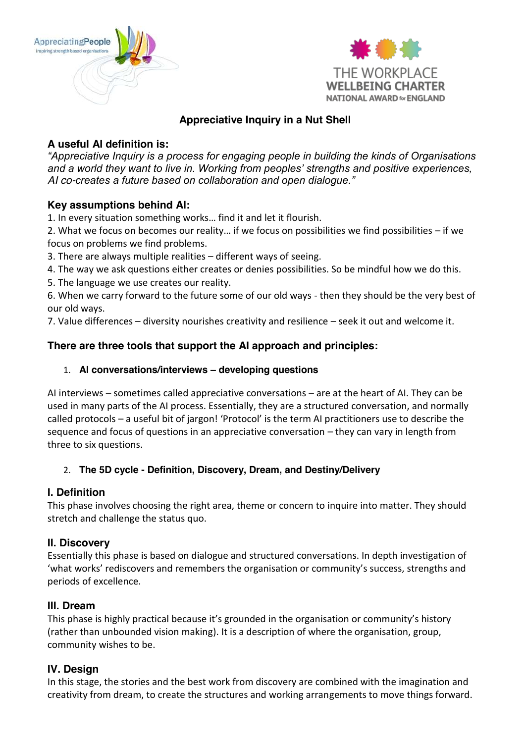



# **Appreciative Inquiry in a Nut Shell**

# **A useful AI definition is:**

*"Appreciative Inquiry is a process for engaging people in building the kinds of Organisations and a world they want to live in. Working from peoples' strengths and positive experiences, AI co-creates a future based on collaboration and open dialogue."*

#### **Key assumptions behind AI:**

1. In every situation something works… find it and let it flourish.

2. What we focus on becomes our reality… if we focus on possibilities we find possibilities – if we focus on problems we find problems.

3. There are always multiple realities – different ways of seeing.

4. The way we ask questions either creates or denies possibilities. So be mindful how we do this.

5. The language we use creates our reality.

6. When we carry forward to the future some of our old ways - then they should be the very best of our old ways.

7. Value differences – diversity nourishes creativity and resilience – seek it out and welcome it.

## **There are three tools that support the AI approach and principles:**

#### 1. **AI conversations/interviews – developing questions**

AI interviews – sometimes called appreciative conversations – are at the heart of AI. They can be used in many parts of the AI process. Essentially, they are a structured conversation, and normally called protocols – a useful bit of jargon! 'Protocol' is the term AI practitioners use to describe the sequence and focus of questions in an appreciative conversation – they can vary in length from three to six questions.

#### 2. **The 5D cycle - Definition, Discovery, Dream, and Destiny/Delivery**

#### **I. Definition**

This phase involves choosing the right area, theme or concern to inquire into matter. They should stretch and challenge the status quo.

#### **II. Discovery**

Essentially this phase is based on dialogue and structured conversations. In depth investigation of 'what works' rediscovers and remembers the organisation or community's success, strengths and periods of excellence.

#### **III. Dream**

This phase is highly practical because it's grounded in the organisation or community's history (rather than unbounded vision making). It is a description of where the organisation, group, community wishes to be.

#### **IV. Design**

In this stage, the stories and the best work from discovery are combined with the imagination and creativity from dream, to create the structures and working arrangements to move things forward.